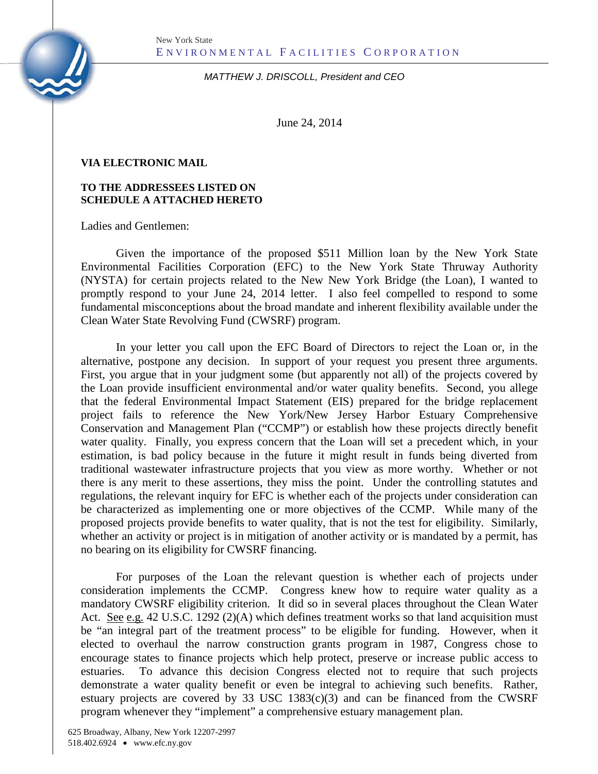

*MATTHEW J. DRISCOLL, President and CEO*

June 24, 2014

## **VIA ELECTRONIC MAIL**

## **TO THE ADDRESSEES LISTED ON SCHEDULE A ATTACHED HERETO**

Ladies and Gentlemen:

Given the importance of the proposed \$511 Million loan by the New York State Environmental Facilities Corporation (EFC) to the New York State Thruway Authority (NYSTA) for certain projects related to the New New York Bridge (the Loan), I wanted to promptly respond to your June 24, 2014 letter. I also feel compelled to respond to some fundamental misconceptions about the broad mandate and inherent flexibility available under the Clean Water State Revolving Fund (CWSRF) program.

In your letter you call upon the EFC Board of Directors to reject the Loan or, in the alternative, postpone any decision. In support of your request you present three arguments. First, you argue that in your judgment some (but apparently not all) of the projects covered by the Loan provide insufficient environmental and/or water quality benefits. Second, you allege that the federal Environmental Impact Statement (EIS) prepared for the bridge replacement project fails to reference the New York/New Jersey Harbor Estuary Comprehensive Conservation and Management Plan ("CCMP") or establish how these projects directly benefit water quality. Finally, you express concern that the Loan will set a precedent which, in your estimation, is bad policy because in the future it might result in funds being diverted from traditional wastewater infrastructure projects that you view as more worthy. Whether or not there is any merit to these assertions, they miss the point. Under the controlling statutes and regulations, the relevant inquiry for EFC is whether each of the projects under consideration can be characterized as implementing one or more objectives of the CCMP. While many of the proposed projects provide benefits to water quality, that is not the test for eligibility. Similarly, whether an activity or project is in mitigation of another activity or is mandated by a permit, has no bearing on its eligibility for CWSRF financing.

For purposes of the Loan the relevant question is whether each of projects under consideration implements the CCMP. Congress knew how to require water quality as a mandatory CWSRF eligibility criterion. It did so in several places throughout the Clean Water Act. See e.g. 42 U.S.C. 1292 (2)(A) which defines treatment works so that land acquisition must be "an integral part of the treatment process" to be eligible for funding. However, when it elected to overhaul the narrow construction grants program in 1987, Congress chose to encourage states to finance projects which help protect, preserve or increase public access to estuaries. To advance this decision Congress elected not to require that such projects demonstrate a water quality benefit or even be integral to achieving such benefits. Rather, estuary projects are covered by 33 USC  $1383(c)(3)$  and can be financed from the CWSRF program whenever they "implement" a comprehensive estuary management plan.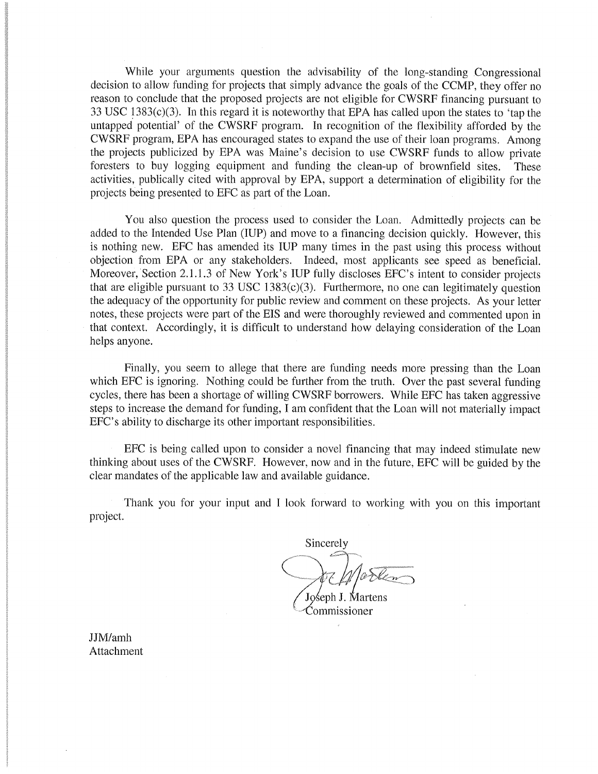While your arguments question the advisability of the long-standing Congressional decision to allow funding for projects that simply advance the goals of the CCMP, they offer no reason to conclude that the proposed projects are not eligible for CWSRF financing pursuant to 33 USC  $1383(c)(3)$ . In this regard it is noteworthy that EPA has called upon the states to 'tap the untapped potential' of the CWSRF program. In recognition of the flexibility afforded by the CWSRF program, EPA has encouraged states to expand the use of their loan programs. Among the projects publicized by EPA was Maine's decision to use CWSRF funds to allow private foresters to buy logging equipment and funding the clean-up of brownfield sites. These activities, publically cited with approval by EPA, support a determination of eligibility for the projects being presented to EFC as part of the Loan.

You also question the process used to consider the Loan. Admittedly projects can be added to the Intended Use Plan (IUP) and move to a financing decision quickly. However, this is nothing new. EFC has amended its IUP many times in the past using this process without objection from EPA or any stakeholders. Indeed, most applicants see speed as beneficial. Moreover, Section 2.1.1.3 of New York's IUP fully discloses EFC's intent to consider projects that are eligible pursuant to 33 USC 1383 $(c)(3)$ . Furthermore, no one can legitimately question the adequacy of the opportunity for public review and comment on these projects. As your letter notes, these projects were part of the EIS and were thoroughly reviewed and commented upon in that context. Accordingly, it is difficult to understand how delaying consideration of the Loan helps anyone.

Finally, you seem to allege that there are funding needs more pressing than the Loan which EFC is ignoring. Nothing could be further from the truth. Over the past several funding cycles, there has been a shortage of willing CWSRF borrowers. While EFC has taken aggressive steps to increase the demand for funding, I am confident that the Loan will not materially impact EFC's ability to discharge its other important responsibilities.

EFC is being called upon to consider a novel financing that may indeed stimulate new thinking about uses of the CWSRF. However, now and in the future, EFC will be guided by the clear mandates of the applicable law and available guidance.

Thank you for your input and I look forward to working with you on this important project.

Sincerely Joseph J. Martens

Commissioner

JJM/amh Attachment